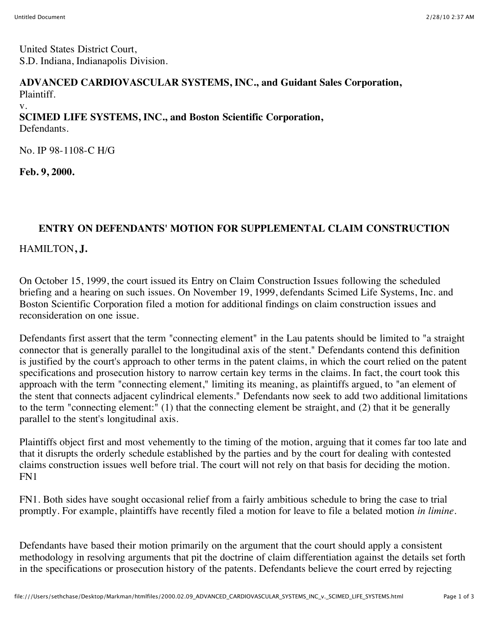United States District Court, S.D. Indiana, Indianapolis Division.

## **ADVANCED CARDIOVASCULAR SYSTEMS, INC., and Guidant Sales Corporation,** Plaintiff.

v.

## **SCIMED LIFE SYSTEMS, INC., and Boston Scientific Corporation,**

Defendants.

No. IP 98-1108-C H/G

**Feb. 9, 2000.**

## **ENTRY ON DEFENDANTS' MOTION FOR SUPPLEMENTAL CLAIM CONSTRUCTION**

## HAMILTON**, J.**

On October 15, 1999, the court issued its Entry on Claim Construction Issues following the scheduled briefing and a hearing on such issues. On November 19, 1999, defendants Scimed Life Systems, Inc. and Boston Scientific Corporation filed a motion for additional findings on claim construction issues and reconsideration on one issue.

Defendants first assert that the term "connecting element" in the Lau patents should be limited to "a straight connector that is generally parallel to the longitudinal axis of the stent." Defendants contend this definition is justified by the court's approach to other terms in the patent claims, in which the court relied on the patent specifications and prosecution history to narrow certain key terms in the claims. In fact, the court took this approach with the term "connecting element," limiting its meaning, as plaintiffs argued, to "an element of the stent that connects adjacent cylindrical elements." Defendants now seek to add two additional limitations to the term "connecting element:" (1) that the connecting element be straight, and (2) that it be generally parallel to the stent's longitudinal axis.

Plaintiffs object first and most vehemently to the timing of the motion, arguing that it comes far too late and that it disrupts the orderly schedule established by the parties and by the court for dealing with contested claims construction issues well before trial. The court will not rely on that basis for deciding the motion. FN1

FN1. Both sides have sought occasional relief from a fairly ambitious schedule to bring the case to trial promptly. For example, plaintiffs have recently filed a motion for leave to file a belated motion *in limine.*

Defendants have based their motion primarily on the argument that the court should apply a consistent methodology in resolving arguments that pit the doctrine of claim differentiation against the details set forth in the specifications or prosecution history of the patents. Defendants believe the court erred by rejecting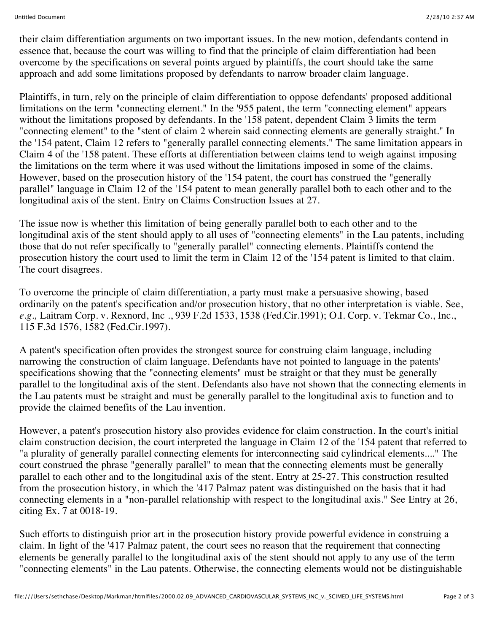their claim differentiation arguments on two important issues. In the new motion, defendants contend in essence that, because the court was willing to find that the principle of claim differentiation had been overcome by the specifications on several points argued by plaintiffs, the court should take the same approach and add some limitations proposed by defendants to narrow broader claim language.

Plaintiffs, in turn, rely on the principle of claim differentiation to oppose defendants' proposed additional limitations on the term "connecting element." In the '955 patent, the term "connecting element" appears without the limitations proposed by defendants. In the '158 patent, dependent Claim 3 limits the term "connecting element" to the "stent of claim 2 wherein said connecting elements are generally straight." In the '154 patent, Claim 12 refers to "generally parallel connecting elements." The same limitation appears in Claim 4 of the '158 patent. These efforts at differentiation between claims tend to weigh against imposing the limitations on the term where it was used without the limitations imposed in some of the claims. However, based on the prosecution history of the '154 patent, the court has construed the "generally parallel" language in Claim 12 of the '154 patent to mean generally parallel both to each other and to the longitudinal axis of the stent. Entry on Claims Construction Issues at 27.

The issue now is whether this limitation of being generally parallel both to each other and to the longitudinal axis of the stent should apply to all uses of "connecting elements" in the Lau patents, including those that do not refer specifically to "generally parallel" connecting elements. Plaintiffs contend the prosecution history the court used to limit the term in Claim 12 of the '154 patent is limited to that claim. The court disagrees.

To overcome the principle of claim differentiation, a party must make a persuasive showing, based ordinarily on the patent's specification and/or prosecution history, that no other interpretation is viable. See, *e.g.,* Laitram Corp. v. Rexnord, Inc ., 939 F.2d 1533, 1538 (Fed.Cir.1991); O.I. Corp. v. Tekmar Co., Inc., 115 F.3d 1576, 1582 (Fed.Cir.1997).

A patent's specification often provides the strongest source for construing claim language, including narrowing the construction of claim language. Defendants have not pointed to language in the patents' specifications showing that the "connecting elements" must be straight or that they must be generally parallel to the longitudinal axis of the stent. Defendants also have not shown that the connecting elements in the Lau patents must be straight and must be generally parallel to the longitudinal axis to function and to provide the claimed benefits of the Lau invention.

However, a patent's prosecution history also provides evidence for claim construction. In the court's initial claim construction decision, the court interpreted the language in Claim 12 of the '154 patent that referred to "a plurality of generally parallel connecting elements for interconnecting said cylindrical elements...." The court construed the phrase "generally parallel" to mean that the connecting elements must be generally parallel to each other and to the longitudinal axis of the stent. Entry at 25-27. This construction resulted from the prosecution history, in which the '417 Palmaz patent was distinguished on the basis that it had connecting elements in a "non-parallel relationship with respect to the longitudinal axis." See Entry at 26, citing Ex. 7 at 0018-19.

Such efforts to distinguish prior art in the prosecution history provide powerful evidence in construing a claim. In light of the '417 Palmaz patent, the court sees no reason that the requirement that connecting elements be generally parallel to the longitudinal axis of the stent should not apply to any use of the term "connecting elements" in the Lau patents. Otherwise, the connecting elements would not be distinguishable